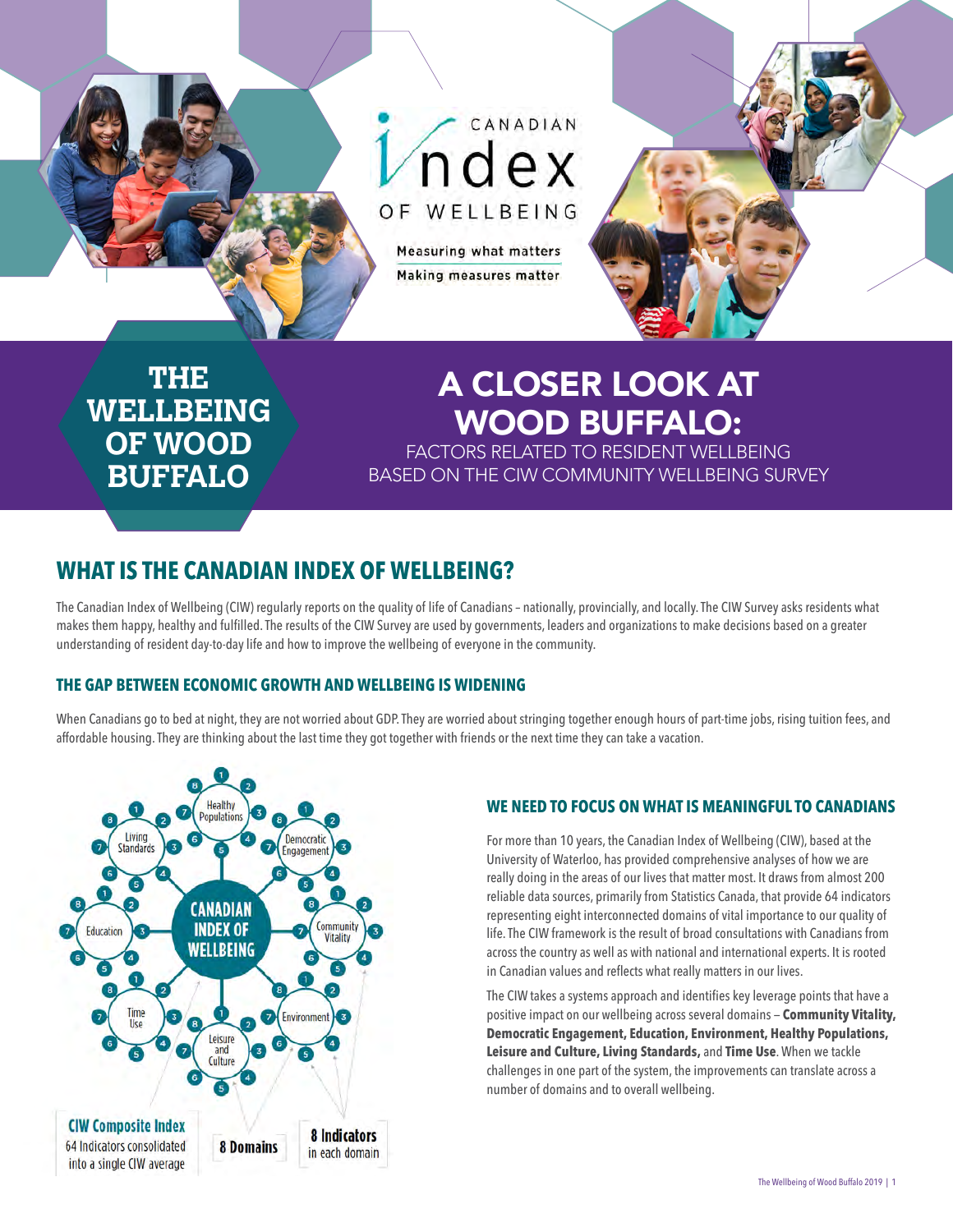

# A CLOSER LOOK AT WOOD BUFFALO:

FACTORS RELATED TO RESIDENT WELLBEING BASED ON THE CIW COMMUNITY WELLBEING SURVEY

### **WHAT IS THE CANADIAN INDEX OF WELLBEING?**

The Canadian Index of Wellbeing (CIW) regularly reports on the quality of life of Canadians – nationally, provincially, and locally. The CIW Survey asks residents what makes them happy, healthy and fulfilled. The results of the CIW Survey are used by governments, leaders and organizations to make decisions based on a greater understanding of resident day-to-day life and how to improve the wellbeing of everyone in the community.

#### **THE GAP BETWEEN ECONOMIC GROWTH AND WELLBEING IS WIDENING**

When Canadians go to bed at night, they are not worried about GDP. They are worried about stringing together enough hours of part-time jobs, rising tuition fees, and affordable housing. They are thinking about the last time they got together with friends or the next time they can take a vacation.



### **WE NEED TO FOCUS ON WHAT IS MEANINGFUL TO CANADIANS**

For more than 10 years, the Canadian Index of Wellbeing (CIW), based at the University of Waterloo, has provided comprehensive analyses of how we are really doing in the areas of our lives that matter most. It draws from almost 200 reliable data sources, primarily from Statistics Canada, that provide 64 indicators representing eight interconnected domains of vital importance to our quality of life. The CIW framework is the result of broad consultations with Canadians from across the country as well as with national and international experts. It is rooted in Canadian values and reflects what really matters in our lives.

The CIW takes a systems approach and identifies key leverage points that have a positive impact on our wellbeing across several domains — **Community Vitality, Democratic Engagement, Education, Environment, Healthy Populations, Leisure and Culture, Living Standards,** and **Time Use**. When we tackle challenges in one part of the system, the improvements can translate across a number of domains and to overall wellbeing.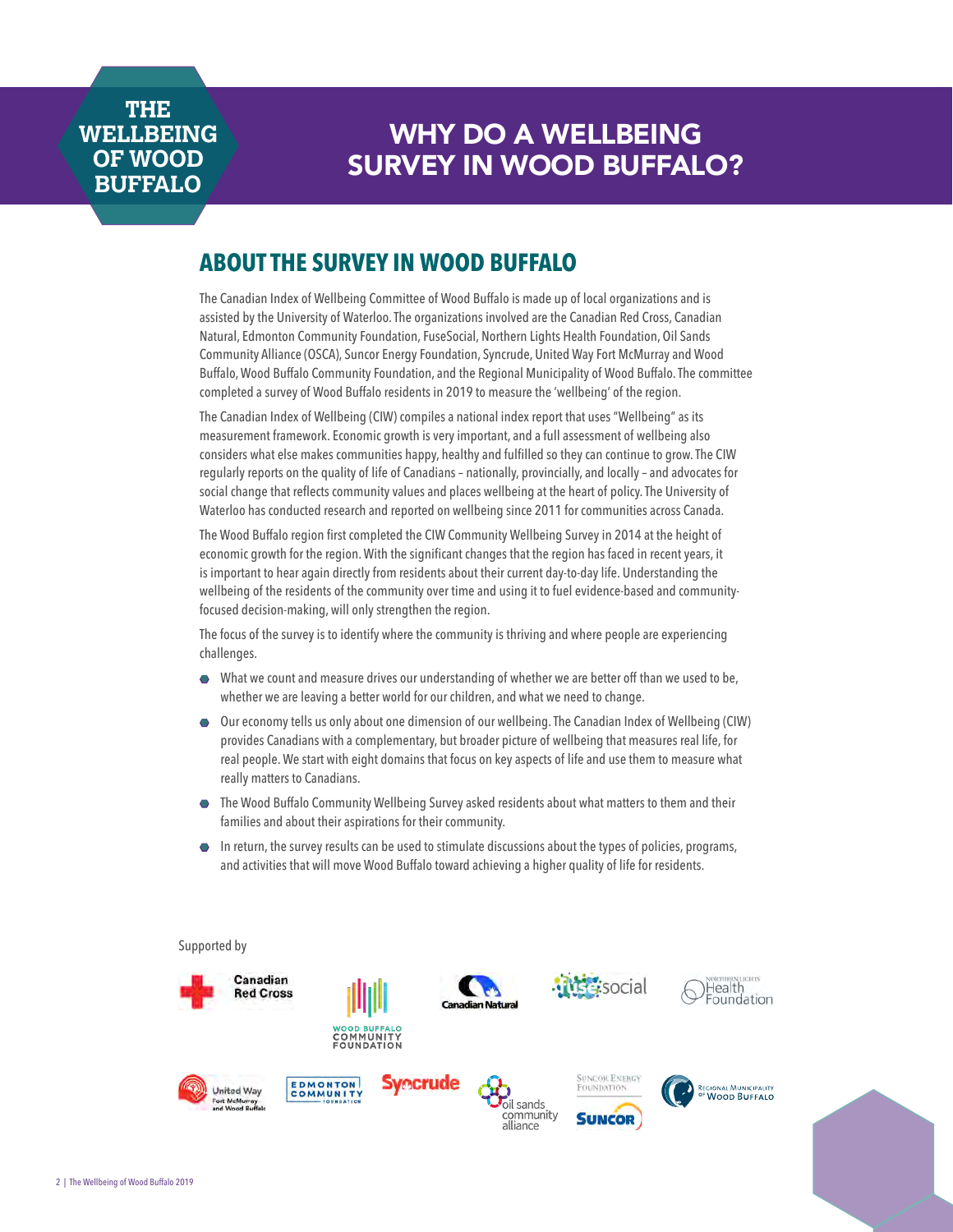## WHY DO A WELLBEING SURVEY IN WOOD BUFFALO?

### **ABOUT THE SURVEY IN WOOD BUFFALO**

The Canadian Index of Wellbeing Committee of Wood Buffalo is made up of local organizations and is assisted by the University of Waterloo. The organizations involved are the Canadian Red Cross, Canadian Natural, Edmonton Community Foundation, FuseSocial, Northern Lights Health Foundation, Oil Sands Community Alliance (OSCA), Suncor Energy Foundation, Syncrude, United Way Fort McMurray and Wood Buffalo, Wood Buffalo Community Foundation, and the Regional Municipality of Wood Buffalo. The committee completed a survey of Wood Buffalo residents in 2019 to measure the 'wellbeing' of the region.

The Canadian Index of Wellbeing (CIW) compiles a national index report that uses "Wellbeing" as its measurement framework. Economic growth is very important, and a full assessment of wellbeing also considers what else makes communities happy, healthy and fulfilled so they can continue to grow. The CIW regularly reports on the quality of life of Canadians – nationally, provincially, and locally – and advocates for social change that reflects community values and places wellbeing at the heart of policy. The University of Waterloo has conducted research and reported on wellbeing since 2011 for communities across Canada.

The Wood Buffalo region first completed the CIW Community Wellbeing Survey in 2014 at the height of economic growth for the region. With the significant changes that the region has faced in recent years, it is important to hear again directly from residents about their current day-to-day life. Understanding the wellbeing of the residents of the community over time and using it to fuel evidence-based and communityfocused decision-making, will only strengthen the region.

The focus of the survey is to identify where the community is thriving and where people are experiencing challenges.

- $\bullet$  What we count and measure drives our understanding of whether we are better off than we used to be, whether we are leaving a better world for our children, and what we need to change.
- $\bullet$  Our economy tells us only about one dimension of our wellbeing. The Canadian Index of Wellbeing (CIW) provides Canadians with a complementary, but broader picture of wellbeing that measures real life, for real people. We start with eight domains that focus on key aspects of life and use them to measure what really matters to Canadians.
- $\bullet$  The Wood Buffalo Community Wellbeing Survey asked residents about what matters to them and their families and about their aspirations for their community.
- $\bullet$  In return, the survey results can be used to stimulate discussions about the types of policies, programs, and activities that will move Wood Buffalo toward achieving a higher quality of life for residents.

#### Supported by

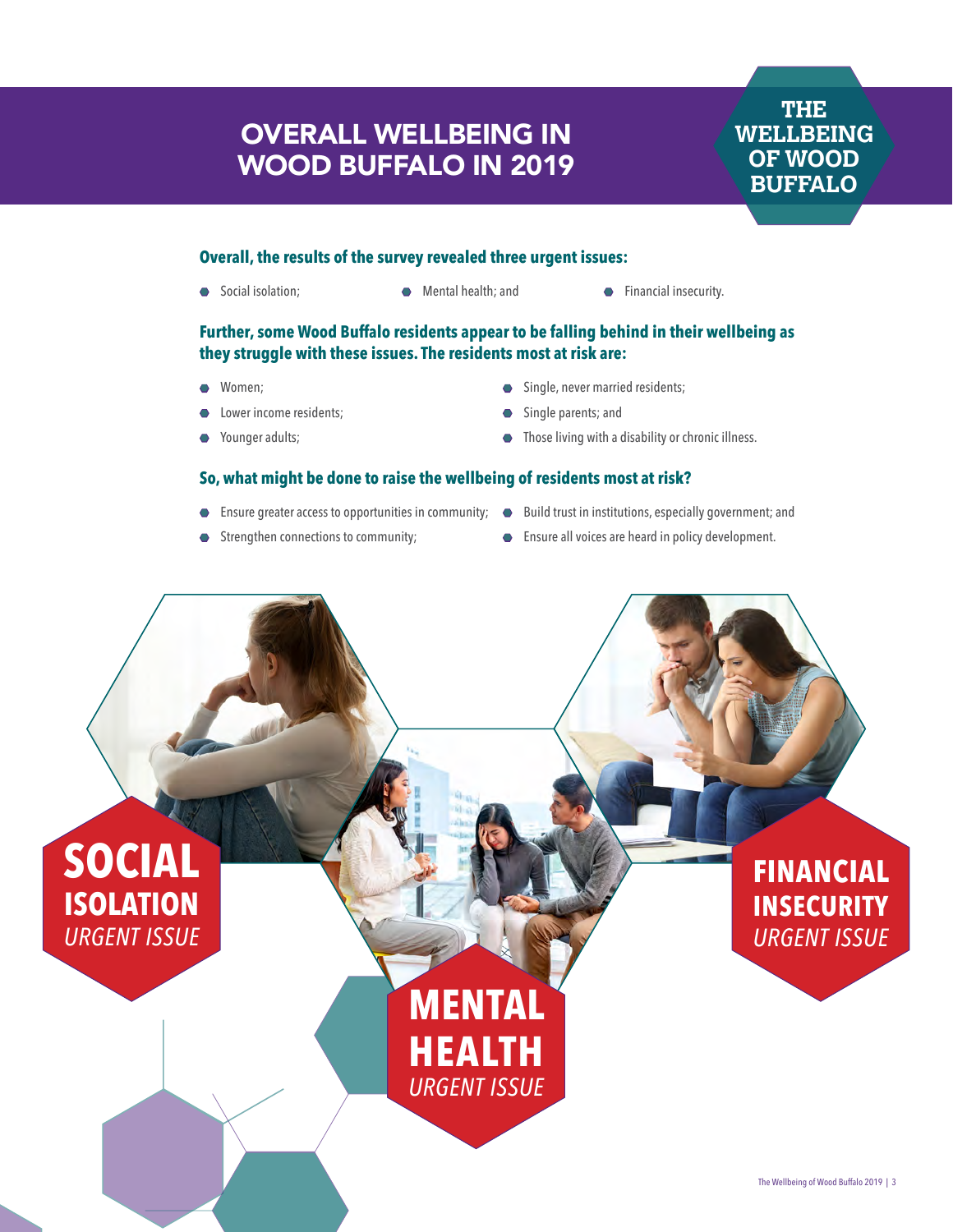## OVERALL WELLBEING IN WOOD BUFFALO IN 2019

**THE WELLBEING OF WOOD BUFFALO**

#### **Overall, the results of the survey revealed three urgent issues:**

- 
- ◆ Social isolation; Mental health; and Financial insecurity.
	-

#### **Further, some Wood Buffalo residents appear to be falling behind in their wellbeing as they struggle with these issues. The residents most at risk are:**

- Women:
- Lower income residents;
- Younger adults;
- **•** Single, never married residents;
- Single parents; and
- $\bullet$  Those living with a disability or chronic illness.

#### **So, what might be done to raise the wellbeing of residents most at risk?**

- Ensure greater access to opportunities in community; Build trust in institutions, especially government; and
- Strengthen connections to community;
- 
- Ensure all voices are heard in policy development.

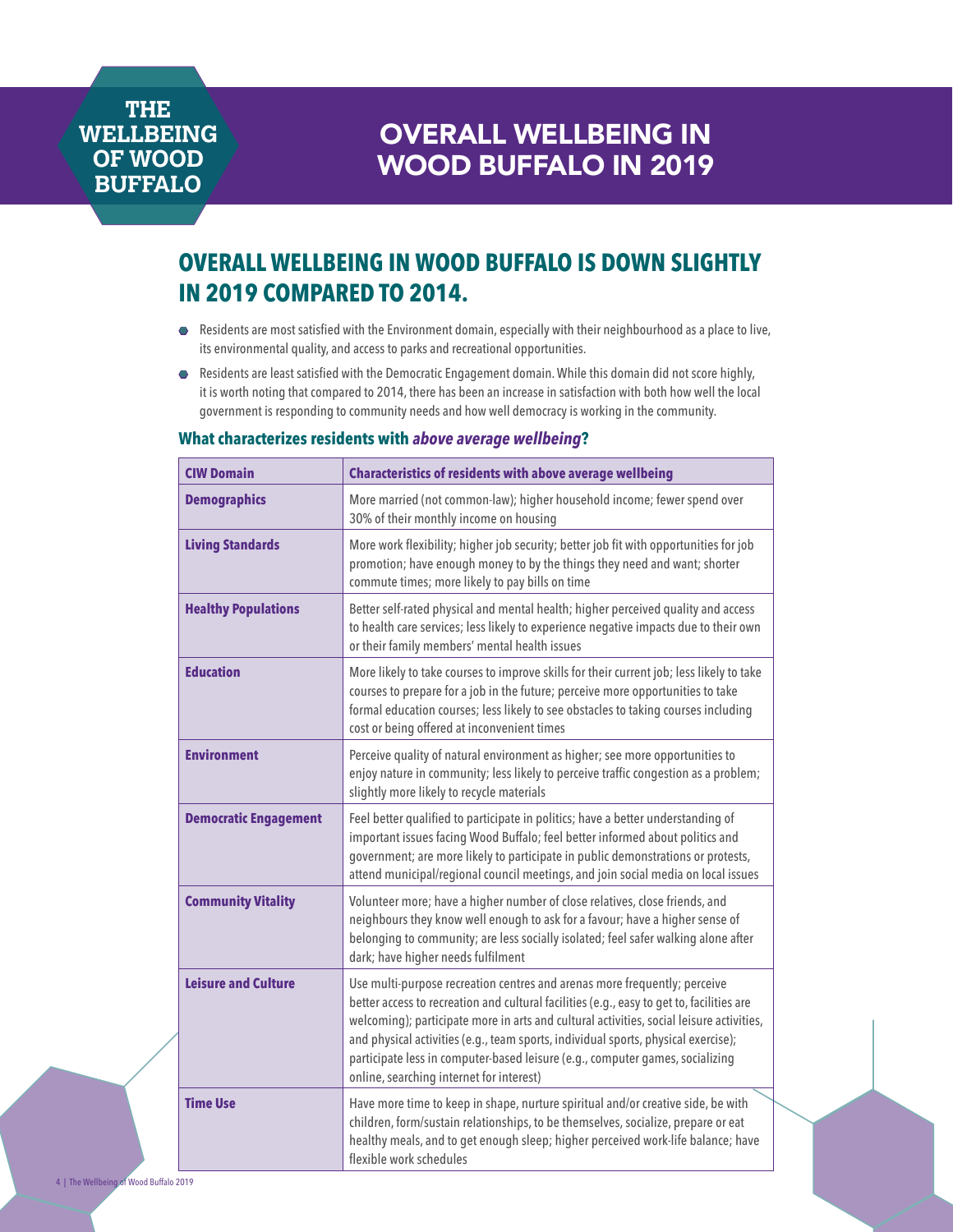## OVERALL WELLBEING IN WOOD BUFFALO IN 2019

## **OVERALL WELLBEING IN WOOD BUFFALO IS DOWN SLIGHTLY IN 2019 COMPARED TO 2014.**

- Residents are most satisfied with the Environment domain, especially with their neighbourhood as a place to live, its environmental quality, and access to parks and recreational opportunities.
- Â Residents are least satisfied with the Democratic Engagement domain. While this domain did not score highly, it is worth noting that compared to 2014, there has been an increase in satisfaction with both how well the local government is responding to community needs and how well democracy is working in the community.

### **CIW Domain Characteristics of residents with above average wellbeing Demographics** More married (not common-law); higher household income; fewer spend over 30% of their monthly income on housing **Living Standards** More work flexibility; higher job security; better job fit with opportunities for job promotion; have enough money to by the things they need and want; shorter commute times; more likely to pay bills on time **Healthy Populations Better self-rated physical and mental health; higher perceived quality and access** to health care services; less likely to experience negative impacts due to their own or their family members' mental health issues **Education** More likely to take courses to improve skills for their current job; less likely to take courses to prepare for a job in the future; perceive more opportunities to take formal education courses; less likely to see obstacles to taking courses including cost or being offered at inconvenient times **Environment** Perceive quality of natural environment as higher; see more opportunities to enjoy nature in community; less likely to perceive traffic congestion as a problem; slightly more likely to recycle materials **Democratic Engagement** Feel better qualified to participate in politics; have a better understanding of important issues facing Wood Buffalo; feel better informed about politics and government; are more likely to participate in public demonstrations or protests, attend municipal/regional council meetings, and join social media on local issues **Community Vitality** Virtality Virtum Volunteer more; have a higher number of close relatives, close friends, and neighbours they know well enough to ask for a favour; have a higher sense of belonging to community; are less socially isolated; feel safer walking alone after dark; have higher needs fulfilment **Leisure and Culture Use multi-purpose recreation centres and arenas more frequently; perceive** better access to recreation and cultural facilities (e.g., easy to get to, facilities are welcoming); participate more in arts and cultural activities, social leisure activities, and physical activities (e.g., team sports, individual sports, physical exercise); participate less in computer-based leisure (e.g., computer games, socializing online, searching internet for interest) **Time Use Have more time to keep in shape, nurture spiritual and/or creative side, be with** children, form/sustain relationships, to be themselves, socialize, prepare or eat healthy meals, and to get enough sleep; higher perceived work-life balance; have flexible work schedules

#### **What characterizes residents with** *above average wellbeing***?**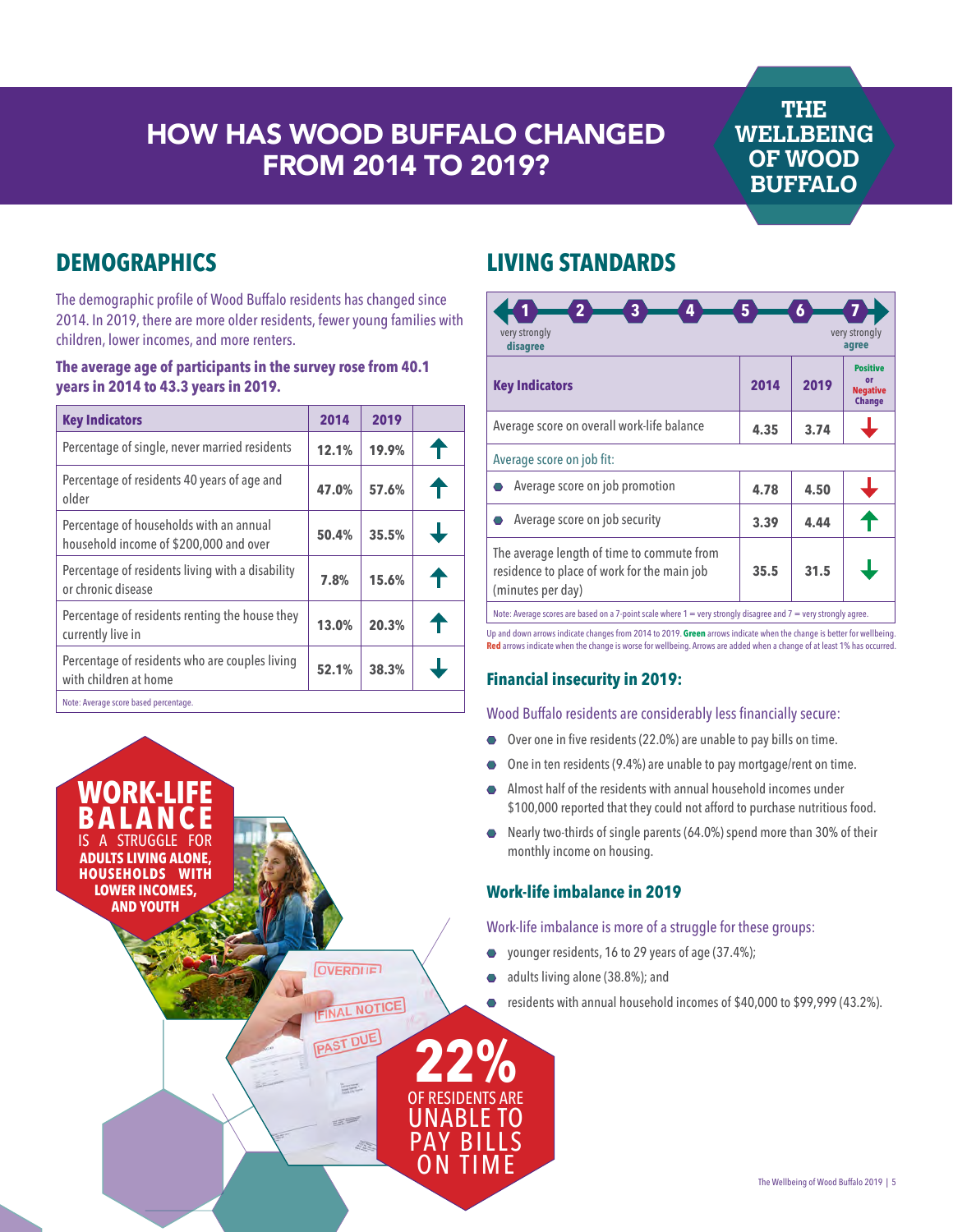## HOW HAS WOOD BUFFALO CHANGED FROM 2014 TO 2019?

### **THE WELLBEING OF WOOD BUFFALO**

## **DEMOGRAPHICS**

The demographic profile of Wood Buffalo residents has changed since 2014. In 2019, there are more older residents, fewer young families with children, lower incomes, and more renters.

#### **The average age of participants in the survey rose from 40.1 years in 2014 to 43.3 years in 2019.**

| <b>Key Indicators</b>                                                             | 2014  | 2019  |   |
|-----------------------------------------------------------------------------------|-------|-------|---|
| Percentage of single, never married residents                                     | 12.1% | 19.9% |   |
| Percentage of residents 40 years of age and<br>older                              | 47.0% | 57.6% |   |
| Percentage of households with an annual<br>household income of \$200,000 and over | 50.4% | 35.5% | ┹ |
| Percentage of residents living with a disability<br>or chronic disease            | 7.8%  | 15.6% |   |
| Percentage of residents renting the house they<br>currently live in               | 13.0% | 20.3% |   |
| Percentage of residents who are couples living<br>with children at home           | 52.1% | 38.3% |   |
| Note: Average score based percentage.                                             |       |       |   |



### **LIVING STANDARDS**

| 3<br>4<br>very strongly<br>disagree                                                                                 | 5    | 6    | very strongly<br>agree                                    |
|---------------------------------------------------------------------------------------------------------------------|------|------|-----------------------------------------------------------|
| <b>Key Indicators</b>                                                                                               | 2014 | 2019 | <b>Positive</b><br>or<br><b>Negative</b><br><b>Change</b> |
| Average score on overall work-life balance                                                                          | 4.35 | 3.74 |                                                           |
| Average score on job fit:                                                                                           |      |      |                                                           |
| Average score on job promotion                                                                                      | 4.78 | 4.50 |                                                           |
| Average score on job security                                                                                       | 3.39 | 4.44 |                                                           |
| The average length of time to commute from<br>residence to place of work for the main job<br>(minutes per day)      | 35.5 | 31.5 |                                                           |
| Note: Average scores are based on a 7-point scale where $1 =$ very strongly disagree and $7 =$ very strongly agree. |      |      |                                                           |

Up and down arrows indicate changes from 2014 to 2019. **Green** arrows indicate when the change is better for wellbeing. **Red** arrows indicate when the change is worse for wellbeing. Arrows are added when a change of at least 1% has occurred.

#### **Financial insecurity in 2019:**

#### Wood Buffalo residents are considerably less financially secure:

- $\bullet$  Over one in five residents (22.0%) are unable to pay bills on time.
- One in ten residents (9.4%) are unable to pay mortgage/rent on time.
- Almost half of the residents with annual household incomes under \$100,000 reported that they could not afford to purchase nutritious food.
- $\bullet$  Nearly two-thirds of single parents (64.0%) spend more than 30% of their monthly income on housing.

#### **Work-life imbalance in 2019**

#### Work-life imbalance is more of a struggle for these groups:

- $\bullet$  younger residents, 16 to 29 years of age (37.4%);
- $\bullet$  adults living alone (38.8%); and
- residents with annual household incomes of \$40,000 to \$99,999 (43.2%).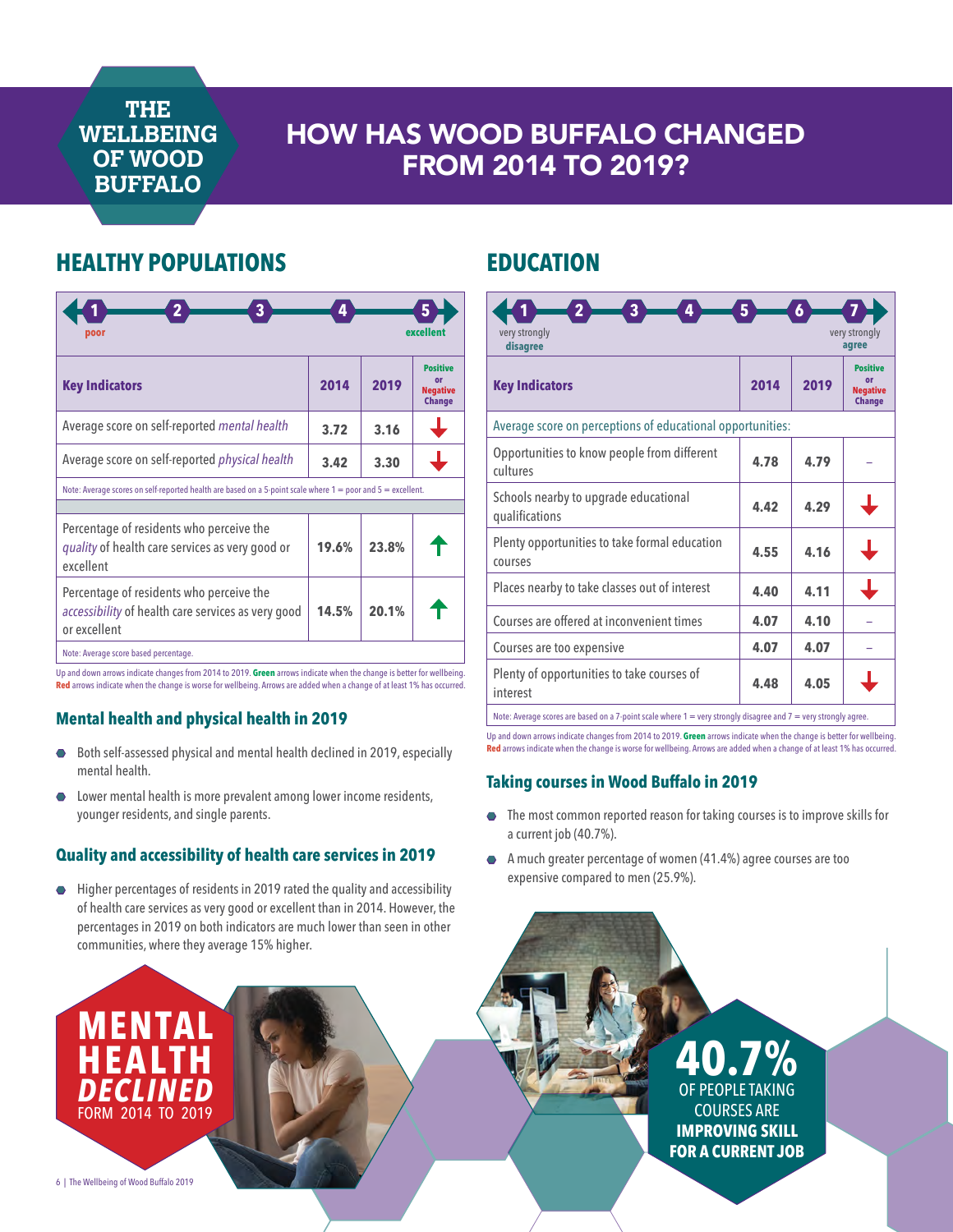## HOW HAS WOOD BUFFALO CHANGED FROM 2014 TO 2019?

### **HEALTHY POPULATIONS**

| 3<br>poor                                                                                                             | 4     |       | excellent                                                 |
|-----------------------------------------------------------------------------------------------------------------------|-------|-------|-----------------------------------------------------------|
| <b>Key Indicators</b>                                                                                                 | 2014  | 2019  | <b>Positive</b><br>or<br><b>Negative</b><br><b>Change</b> |
| Average score on self-reported mental health                                                                          | 3.72  | 3.16  |                                                           |
| Average score on self-reported <i>physical health</i>                                                                 | 3.42  | 3.30  |                                                           |
| Note: Average scores on self-reported health are based on a 5-point scale where 1 = poor and 5 = excellent.           |       |       |                                                           |
| Percentage of residents who perceive the<br>quality of health care services as very good or<br>excellent              | 19.6% | 23.8% |                                                           |
| Percentage of residents who perceive the<br><i>accessibility</i> of health care services as very good<br>or excellent | 14.5% | 20.1% |                                                           |
| Note: Average score based percentage.                                                                                 |       |       |                                                           |

Up and down arrows indicate changes from 2014 to 2019. **Green** arrows indicate when the change is better for wellbeing. **Red** arrows indicate when the change is worse for wellbeing. Arrows are added when a change of at least 1% has occurred.

### **Mental health and physical health in 2019**

6 | The Wellbeing of Wood Buffalo 2019

**MEN** 

**HEALTH** *DECLINED* FORM 2014 TO 2019

- Both self-assessed physical and mental health declined in 2019, especially mental health.
- Lower mental health is more prevalent among lower income residents, younger residents, and single parents.

#### **Quality and accessibility of health care services in 2019**

 $\bullet$  Higher percentages of residents in 2019 rated the quality and accessibility of health care services as very good or excellent than in 2014. However, the percentages in 2019 on both indicators are much lower than seen in other communities, where they average 15% higher.

### **EDUCATION**

| $\overline{2}$<br>3<br>4<br>5<br>$\boldsymbol{6}$<br>very strongly<br>very strongly<br>disagree<br>agree            |      |      |                                                    |
|---------------------------------------------------------------------------------------------------------------------|------|------|----------------------------------------------------|
| <b>Key Indicators</b>                                                                                               | 2014 | 2019 | Positive<br>o۳<br><b>Negative</b><br><b>Change</b> |
| Average score on perceptions of educational opportunities:                                                          |      |      |                                                    |
| Opportunities to know people from different<br>cultures                                                             | 4.78 | 4.79 |                                                    |
| Schools nearby to upgrade educational<br>qualifications                                                             | 4.42 | 4.29 |                                                    |
| Plenty opportunities to take formal education<br>courses                                                            | 4.55 | 4.16 |                                                    |
| Places nearby to take classes out of interest                                                                       | 4.40 | 4.11 |                                                    |
| Courses are offered at inconvenient times                                                                           | 4.07 | 4.10 |                                                    |
| Courses are too expensive                                                                                           | 4.07 | 4.07 |                                                    |
| Plenty of opportunities to take courses of<br>interest                                                              | 4.48 | 4.05 |                                                    |
| Note: Average scores are based on a 7-point scale where $1 =$ very strongly disagree and $7 =$ very strongly agree. |      |      |                                                    |

Up and down arrows indicate changes from 2014 to 2019. **Green** arrows indicate when the change is better for wellbeing. **Red** arrows indicate when the change is worse for wellbeing. Arrows are added when a change of at least 1% has occurred.

### **Taking courses in Wood Buffalo in 2019**

- $\bullet$  The most common reported reason for taking courses is to improve skills for a current job (40.7%).
- Â A much greater percentage of women (41.4%) agree courses are too expensive compared to men (25.9%).

### **40.7%** OF PEOPLE TAKING COURSES ARE **IMPROVING SKILL FOR A CURRENT JOB**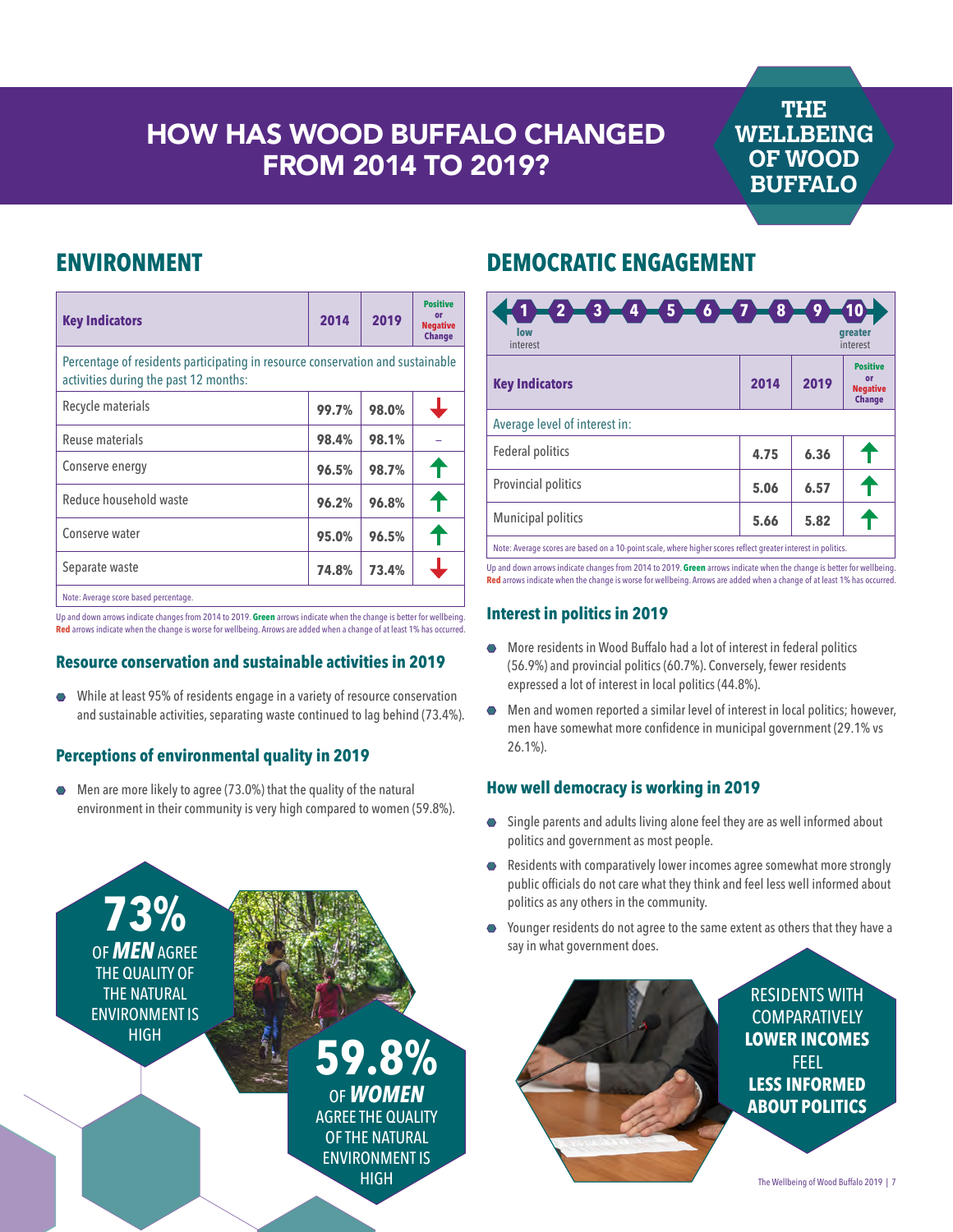## HOW HAS WOOD BUFFALO CHANGED FROM 2014 TO 2019?

### **THE WELLBEING OF WOOD BUFFALO**

### **ENVIRONMENT**

| <b>Key Indicators</b>                                                                                                   | 2014  | 2019  | <b>Positive</b><br>or<br><b>Negative</b><br><b>Change</b> |  |
|-------------------------------------------------------------------------------------------------------------------------|-------|-------|-----------------------------------------------------------|--|
| Percentage of residents participating in resource conservation and sustainable<br>activities during the past 12 months: |       |       |                                                           |  |
| Recycle materials                                                                                                       | 99.7% | 98.0% |                                                           |  |
| Reuse materials                                                                                                         | 98.4% | 98.1% |                                                           |  |
| Conserve energy                                                                                                         | 96.5% | 98.7% |                                                           |  |
| Reduce household waste                                                                                                  | 96.2% | 96.8% |                                                           |  |
| Conserve water                                                                                                          | 95.0% | 96.5% |                                                           |  |
| Separate waste                                                                                                          | 74.8% | 73.4% |                                                           |  |
| Note: Average score based percentage.                                                                                   |       |       |                                                           |  |

Up and down arrows indicate changes from 2014 to 2019. **Green** arrows indicate when the change is better for wellbeing. **Red** arrows indicate when the change is worse for wellbeing. Arrows are added when a change of at least 1% has occurred.

#### **Resource conservation and sustainable activities in 2019**

Â While at least 95% of residents engage in a variety of resource conservation and sustainable activities, separating waste continued to lag behind (73.4%).

### **Perceptions of environmental quality in 2019**

Men are more likely to agree (73.0%) that the quality of the natural environment in their community is very high compared to women (59.8%).



### **DEMOCRATIC ENGAGEMENT**

| $-2$ $-3$ $-4$ $-5$ $-6$ $-7$ $-8$<br>low<br>interest                                                         |      | 9    | <b>greater</b><br>interest                                |
|---------------------------------------------------------------------------------------------------------------|------|------|-----------------------------------------------------------|
| <b>Key Indicators</b>                                                                                         | 2014 | 2019 | <b>Positive</b><br>or<br><b>Negative</b><br><b>Change</b> |
| Average level of interest in:                                                                                 |      |      |                                                           |
| Federal politics                                                                                              | 4.75 | 6.36 |                                                           |
| Provincial politics                                                                                           | 5.06 | 6.57 |                                                           |
| Municipal politics                                                                                            | 5.66 | 5.82 |                                                           |
| Note: Average scores are based on a 10-point scale, where higher scores reflect greater interest in politics. |      |      |                                                           |

Up and down arrows indicate changes from 2014 to 2019. **Green** arrows indicate when the change is better for wellbeing. **Red** arrows indicate when the change is worse for wellbeing. Arrows are added when a change of at least 1% has occurred.

### **Interest in politics in 2019**

- More residents in Wood Buffalo had a lot of interest in federal politics (56.9%) and provincial politics (60.7%). Conversely, fewer residents expressed a lot of interest in local politics (44.8%).
- $\bullet$  Men and women reported a similar level of interest in local politics; however, men have somewhat more confidence in municipal government (29.1% vs 26.1%).

### **How well democracy is working in 2019**

- Single parents and adults living alone feel they are as well informed about politics and government as most people.
- Residents with comparatively lower incomes agree somewhat more strongly public officials do not care what they think and feel less well informed about politics as any others in the community.
- $\bullet$  Younger residents do not agree to the same extent as others that they have a say in what government does.



The Wellbeing of Wood Buffalo 2019 | 7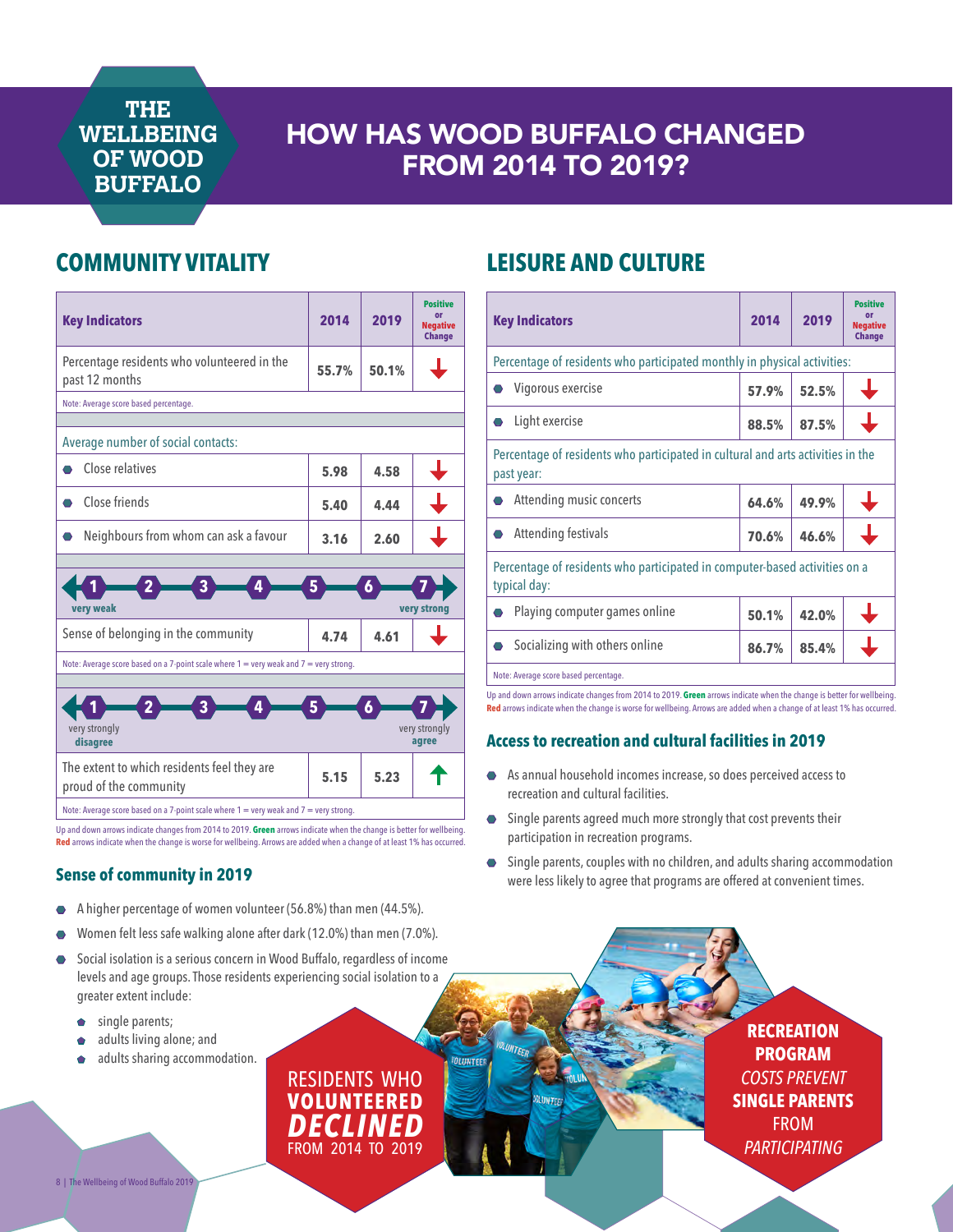## HOW HAS WOOD BUFFALO CHANGED FROM 2014 TO 2019?

### **COMMUNITY VITALITY**



Up and down arrows indicate changes from 2014 to 2019. **Green** arrows indicate when the change is better for wellbeing. **Red** arrows indicate when the change is worse for wellbeing. Arrows are added when a change of at least 1% has occurred.

#### **Sense of community in 2019**

- Â A higher percentage of women volunteer (56.8%) than men (44.5%).
- Women felt less safe walking alone after dark (12.0%) than men (7.0%).
- Social isolation is a serious concern in Wood Buffalo, regardless of income levels and age groups. Those residents experiencing social isolation to a greater extent include:
	- single parents;
	- $\bullet$  adults living alone; and
	- adults sharing accommodation.

**LEISURE AND CULTURE**

| <b>Key Indicators</b>                                                                         | 2014  | 2019  | <b>Positive</b><br>o۳<br><b>Negative</b><br><b>Change</b> |  |
|-----------------------------------------------------------------------------------------------|-------|-------|-----------------------------------------------------------|--|
| Percentage of residents who participated monthly in physical activities:                      |       |       |                                                           |  |
| Vigorous exercise                                                                             | 57.9% | 52.5% |                                                           |  |
| Light exercise                                                                                | 88.5% | 87.5% |                                                           |  |
| Percentage of residents who participated in cultural and arts activities in the<br>past year: |       |       |                                                           |  |
| Attending music concerts                                                                      | 64.6% | 49.9% |                                                           |  |
| Attending festivals                                                                           | 70.6% | 46.6% |                                                           |  |
| Percentage of residents who participated in computer-based activities on a<br>typical day:    |       |       |                                                           |  |
| Playing computer games online                                                                 | 50.1% | 42.0% |                                                           |  |
| Socializing with others online                                                                | 86.7% | 85.4% |                                                           |  |
| Note: Average score based percentage.                                                         |       |       |                                                           |  |

Up and down arrows indicate changes from 2014 to 2019. **Green** arrows indicate when the change is better for wellbeing. **Red** arrows indicate when the change is worse for wellbeing. Arrows are added when a change of at least 1% has occurred.

### **Access to recreation and cultural facilities in 2019**

- As annual household incomes increase, so does perceived access to recreation and cultural facilities.
- **•** Single parents agreed much more strongly that cost prevents their participation in recreation programs.
- $\bullet$  Single parents, couples with no children, and adults sharing accommodation were less likely to agree that programs are offered at convenient times.

**RECREATION PROGRAM** *COSTS PREVENT*  **SINGLE PARENTS**  FROM *PARTICIPATING*

RESIDENTS WHO **VOLUNTEERED** *DECLINED* FROM 2014 TO 2019 **OLIMTER**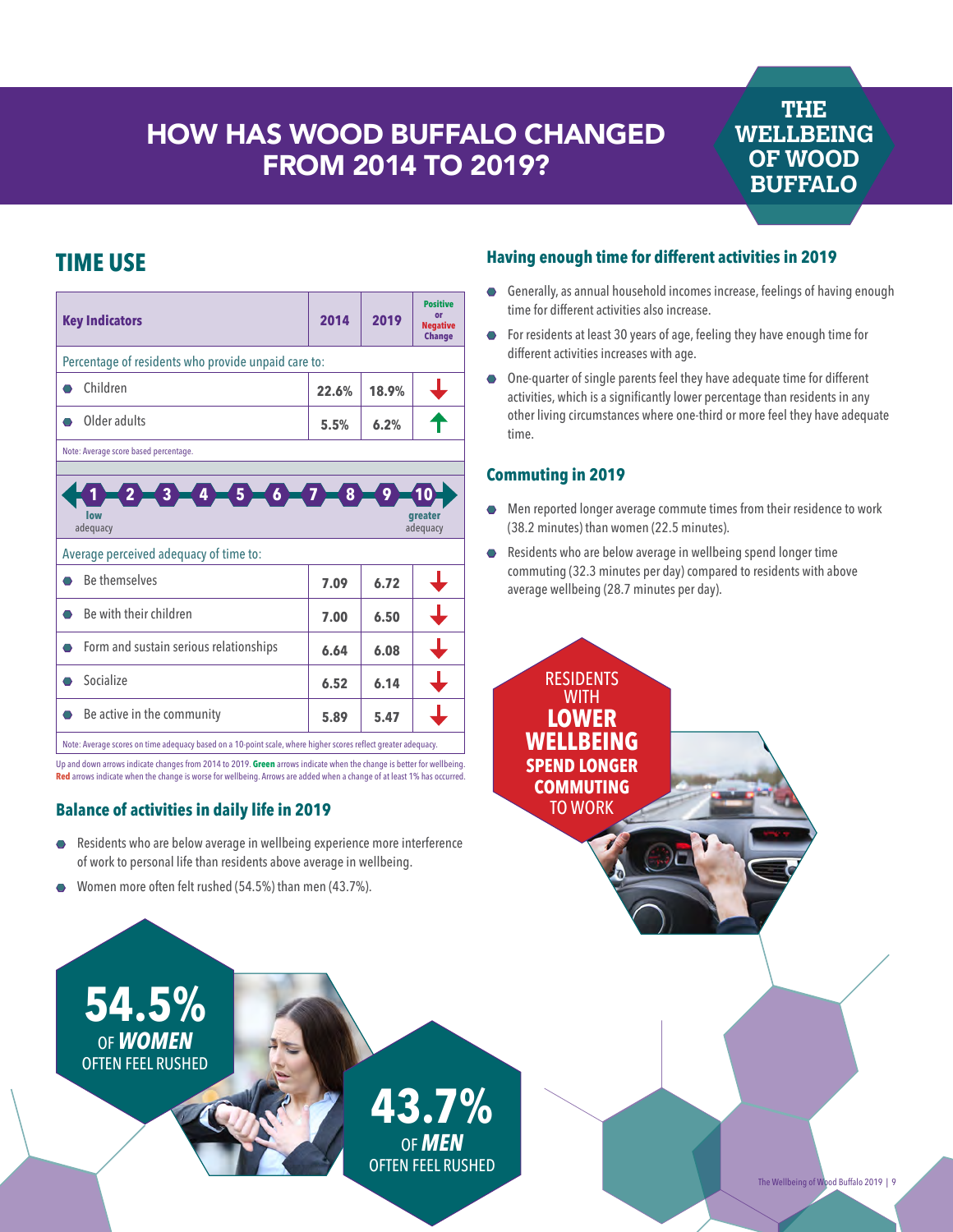## HOW HAS WOOD BUFFALO CHANGED FROM 2014 TO 2019?

### **THE WELLBEING OF WOOD BUFFALO**

## **TIME USE**

| <b>Key Indicators</b>                                                                                      | 2014  | 2019  | <b>Positive</b><br>or<br><b>Negative</b><br><b>Change</b> |  |
|------------------------------------------------------------------------------------------------------------|-------|-------|-----------------------------------------------------------|--|
| Percentage of residents who provide unpaid care to:                                                        |       |       |                                                           |  |
| Children                                                                                                   | 22.6% | 18.9% |                                                           |  |
| Older adults                                                                                               | 5.5%  | 6.2%  |                                                           |  |
| Note: Average score based percentage.                                                                      |       |       |                                                           |  |
| $2 - 3 - 4 - 5 - 6 - 7 - 8$<br>$\mathbf{9}^{\circ}$<br>10<br>low<br><b>areater</b><br>adequacy<br>adequacy |       |       |                                                           |  |
| Average perceived adequacy of time to:                                                                     |       |       |                                                           |  |
| <b>Be themselves</b>                                                                                       | 7.09  | 6.72  | ↓                                                         |  |
| Be with their children                                                                                     | 7.00  | 6.50  | ┶                                                         |  |
| Form and sustain serious relationships<br>⌒                                                                | 6.64  | 6.08  | ┶                                                         |  |
| Socialize<br>⌒                                                                                             | 6.52  | 6.14  |                                                           |  |
| Be active in the community                                                                                 | 5.89  | 5.47  |                                                           |  |

Note: Average scores on time adequacy based on a 10-point scale, where higher scores reflect greater adequacy. Up and down arrows indicate changes from 2014 to 2019. **Green** arrows indicate when the change is better for wellbeing.

**Red** arrows indicate when the change is worse for wellbeing. Arrows are added when a change of at least 1% has occurred.

### **Balance of activities in daily life in 2019**

- Residents who are below average in wellbeing experience more interference of work to personal life than residents above average in wellbeing.
- Women more often felt rushed (54.5%) than men (43.7%).

### **Having enough time for different activities in 2019**

- **•** Generally, as annual household incomes increase, feelings of having enough time for different activities also increase.
- For residents at least 30 years of age, feeling they have enough time for different activities increases with age.
- One-quarter of single parents feel they have adequate time for different activities, which is a significantly lower percentage than residents in any other living circumstances where one-third or more feel they have adequate time.

### **Commuting in 2019**

- Men reported longer average commute times from their residence to work (38.2 minutes) than women (22.5 minutes).
- Residents who are below average in wellbeing spend longer time commuting (32.3 minutes per day) compared to residents with above average wellbeing (28.7 minutes per day).

**RESIDENTS WITH LOWER WELLBEING SPEND LONGER COMMUTING**  TO WORK

**54.5%** OF *WOMEN* OFTEN FEEL RUSHED

> **43.7%** OF *MEN* OFTEN FEEL RUSHED

The Wellbeing of Wood Buffalo 2019 | 9